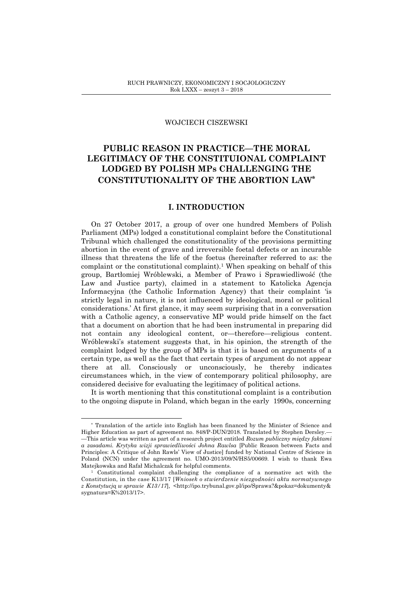### WOJCIECH CISZEWSKI

# **PUBLIC REASON IN PRACTICE—THE MORAL LEGITIMACY OF THE CONSTITUIONAL COMPLAINT LODGED BY POLISH MPs CHALLENGING THE CONSTITUTIONALITY OF THE ABORTION LAW\***

# **I. INTRODUCTION**

On 27 October 2017, a group of over one hundred Members of Polish Parliament (MPs) lodged a constitutional complaint before the Constitutional Tribunal which challenged the constitutionality of the provisions permitting abortion in the event of grave and irreversible foetal defects or an incurable illness that threatens the life of the foetus (hereinafter referred to as: the complaint or the constitutional complaint). <sup>1</sup> When speaking on behalf of this group, Bartłomiej Wróblewski, a Member of Prawo i Sprawiedliwość (the Law and Justice party), claimed in a statement to Katolicka Agencja Informacyjna (the Catholic Information Agency) that their complaint 'is strictly legal in nature, it is not influenced by ideological, moral or political considerations.' At first glance, it may seem surprising that in a conversation with a Catholic agency, a conservative MP would pride himself on the fact that a document on abortion that he had been instrumental in preparing did not contain any ideological content, or—therefore—religious content. Wróblewski's statement suggests that, in his opinion, the strength of the complaint lodged by the group of MPs is that it is based on arguments of a certain type, as well as the fact that certain types of argument do not appear there at all. Consciously or unconsciously, he thereby indicates circumstances which, in the view of contemporary political philosophy, are considered decisive for evaluating the legitimacy of political actions.

It is worth mentioning that this constitutional complaint is a contribution to the ongoing dispute in Poland, which began in the early 1990s, concerning

<sup>\*</sup> Translation of the article into English has been financed by the Minister of Science and Higher Education as part of agreement no. 848/P-DUN/2018. Translated by Stephen Dersley.— —This article was written as part of a research project entitled *Rozum publiczny między faktami a zasadami. Krytyka wizji sprawiedliwości Johna Rawlsa* [Public Reason between Facts and Principles: A Critique of John Rawls' View of Justice] funded by National Centre of Science in Poland (NCN) under the agreement no. UMO-2013/09/N/HS5/00669. I wish to thank Ewa Matejkowska and Rafał Michalczak for helpful comments.

<sup>1</sup> Constitutional complaint challenging the compliance of a normative act with the Constitution, in the case K13/17 [*Wniosek o stwierdzenie niezgodności aktu normatywnego z Konstytucją w sprawie K13/17*], <http://ipo.trybunal.gov.pl/ipo/Sprawa?&pokaz=dokumenty& sygnatura=K%2013/17>.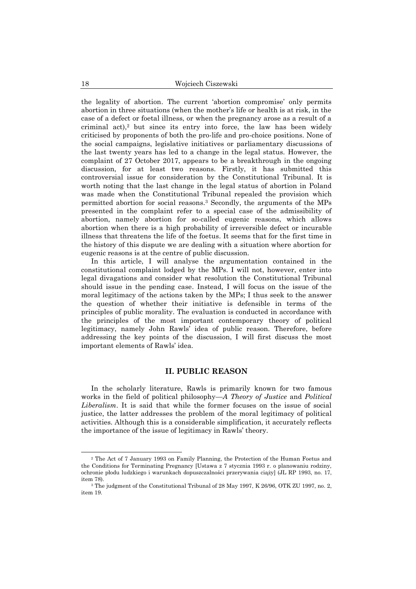the legality of abortion. The current 'abortion compromise' only permits abortion in three situations (when the mother's life or health is at risk, in the case of a defect or foetal illness, or when the pregnancy arose as a result of a criminal act), $2$  but since its entry into force, the law has been widely criticised by proponents of both the pro-life and pro-choice positions. None of the social campaigns, legislative initiatives or parliamentary discussions of the last twenty years has led to a change in the legal status. However, the complaint of 27 October 2017, appears to be a breakthrough in the ongoing discussion, for at least two reasons. Firstly, it has submitted this controversial issue for consideration by the Constitutional Tribunal. It is worth noting that the last change in the legal status of abortion in Poland was made when the Constitutional Tribunal repealed the provision which permitted abortion for social reasons.<sup>3</sup> Secondly, the arguments of the MPs presented in the complaint refer to a special case of the admissibility of abortion, namely abortion for so-called eugenic reasons, which allows abortion when there is a high probability of irreversible defect or incurable illness that threatens the life of the foetus. It seems that for the first time in the history of this dispute we are dealing with a situation where abortion for eugenic reasons is at the centre of public discussion.

In this article, I will analyse the argumentation contained in the constitutional complaint lodged by the MPs. I will not, however, enter into legal divagations and consider what resolution the Constitutional Tribunal should issue in the pending case. Instead, I will focus on the issue of the moral legitimacy of the actions taken by the MPs; I thus seek to the answer the question of whether their initiative is defensible in terms of the principles of public morality. The evaluation is conducted in accordance with the principles of the most important contemporary theory of political legitimacy, namely John Rawls' idea of public reason. Therefore, before addressing the key points of the discussion, I will first discuss the most important elements of Rawls' idea.

## **II. PUBLIC REASON**

In the scholarly literature, Rawls is primarily known for two famous works in the field of political philosophy—*A Theory of Justice* and *Political Liberalism*. It is said that while the former focuses on the issue of social justice, the latter addresses the problem of the moral legitimacy of political activities. Although this is a considerable simplification, it accurately reflects the importance of the issue of legitimacy in Rawls' theory.

<sup>2</sup> The Act of 7 January 1993 on Family Planning, the Protection of the Human Foetus and the Conditions for Terminating Pregnancy [Ustawa z 7 stycznia 1993 r. o planowaniu rodziny, ochronie płodu ludzkiego i warunkach dopuszczalności przerywania ciąży] (JL RP 1993, no. 17, item 78).

<sup>3</sup> The judgment of the Constitutional Tribunal of 28 May 1997, K 26/96, OTK ZU 1997, no. 2, item 19.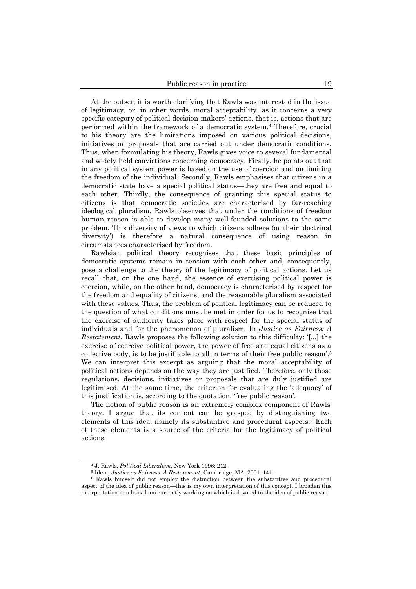At the outset, it is worth clarifying that Rawls was interested in the issue of legitimacy, or, in other words, moral acceptability, as it concerns a very specific category of political decision-makers' actions, that is, actions that are performed within the framework of a democratic system.<sup>4</sup> Therefore, crucial to his theory are the limitations imposed on various political decisions, initiatives or proposals that are carried out under democratic conditions. Thus, when formulating his theory, Rawls gives voice to several fundamental and widely held convictions concerning democracy. Firstly, he points out that in any political system power is based on the use of coercion and on limiting the freedom of the individual. Secondly, Rawls emphasises that citizens in a democratic state have a special political status—they are free and equal to each other. Thirdly, the consequence of granting this special status to citizens is that democratic societies are characterised by far-reaching ideological pluralism. Rawls observes that under the conditions of freedom human reason is able to develop many well-founded solutions to the same problem. This diversity of views to which citizens adhere (or their 'doctrinal diversity') is therefore a natural consequence of using reason in circumstances characterised by freedom.

Rawlsian political theory recognises that these basic principles of democratic systems remain in tension with each other and, consequently, pose a challenge to the theory of the legitimacy of political actions. Let us recall that, on the one hand, the essence of exercising political power is coercion, while, on the other hand, democracy is characterised by respect for the freedom and equality of citizens, and the reasonable pluralism associated with these values. Thus, the problem of political legitimacy can be reduced to the question of what conditions must be met in order for us to recognise that the exercise of authority takes place with respect for the special status of individuals and for the phenomenon of pluralism. In *Justice as Fairness: A Restatement*, Rawls proposes the following solution to this difficulty: '[...] the exercise of coercive political power, the power of free and equal citizens as a collective body, is to be justifiable to all in terms of their free public reason'. 5 We can interpret this excerpt as arguing that the moral acceptability of political actions depends on the way they are justified. Therefore, only those regulations, decisions, initiatives or proposals that are duly justified are legitimised. At the same time, the criterion for evaluating the 'adequacy' of this justification is, according to the quotation, 'free public reason'.

The notion of public reason is an extremely complex component of Rawls' theory. I argue that its content can be grasped by distinguishing two elements of this idea, namely its substantive and procedural aspects. <sup>6</sup> Each of these elements is a source of the criteria for the legitimacy of political actions.

<sup>4</sup> J. Rawls, *Political Liberalism*, New York 1996: 212.

<sup>5</sup> Idem, *Justice as Fairness: A Restatement*, Cambridge, MA, 2001: 141.

<sup>6</sup> Rawls himself did not employ the distinction between the substantive and procedural aspect of the idea of public reason—this is my own interpretation of this concept. I broaden this interpretation in a book I am currently working on which is devoted to the idea of public reason.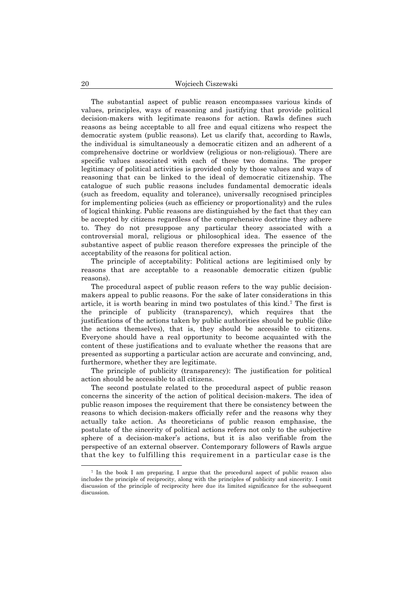The substantial aspect of public reason encompasses various kinds of values, principles, ways of reasoning and justifying that provide political decision-makers with legitimate reasons for action. Rawls defines such reasons as being acceptable to all free and equal citizens who respect the democratic system (public reasons). Let us clarify that, according to Rawls, the individual is simultaneously a democratic citizen and an adherent of a comprehensive doctrine or worldview (religious or non-religious). There are specific values associated with each of these two domains. The proper legitimacy of political activities is provided only by those values and ways of reasoning that can be linked to the ideal of democratic citizenship. The catalogue of such public reasons includes fundamental democratic ideals (such as freedom, equality and tolerance), universally recognised principles for implementing policies (such as efficiency or proportionality) and the rules of logical thinking. Public reasons are distinguished by the fact that they can be accepted by citizens regardless of the comprehensive doctrine they adhere to. They do not presuppose any particular theory associated with a controversial moral, religious or philosophical idea. The essence of the substantive aspect of public reason therefore expresses the principle of the acceptability of the reasons for political action.

The principle of acceptability: Political actions are legitimised only by reasons that are acceptable to a reasonable democratic citizen (public reasons).

The procedural aspect of public reason refers to the way public decisionmakers appeal to public reasons. For the sake of later considerations in this article, it is worth bearing in mind two postulates of this kind. <sup>7</sup> The first is the principle of publicity (transparency), which requires that the justifications of the actions taken by public authorities should be public (like the actions themselves), that is, they should be accessible to citizens. Everyone should have a real opportunity to become acquainted with the content of these justifications and to evaluate whether the reasons that are presented as supporting a particular action are accurate and convincing, and, furthermore, whether they are legitimate.

The principle of publicity (transparency): The justification for political action should be accessible to all citizens.

The second postulate related to the procedural aspect of public reason concerns the sincerity of the action of political decision-makers. The idea of public reason imposes the requirement that there be consistency between the reasons to which decision-makers officially refer and the reasons why they actually take action. As theoreticians of public reason emphasise, the postulate of the sincerity of political actions refers not only to the subjective sphere of a decision-maker's actions, but it is also verifiable from the perspective of an external observer. Contemporary followers of Rawls argue that the key to fulfilling this requirement in a particular case is the

<sup>7</sup> In the book I am preparing, I argue that the procedural aspect of public reason also includes the principle of reciprocity, along with the principles of publicity and sincerity. I omit discussion of the principle of reciprocity here due its limited significance for the subsequent discussion.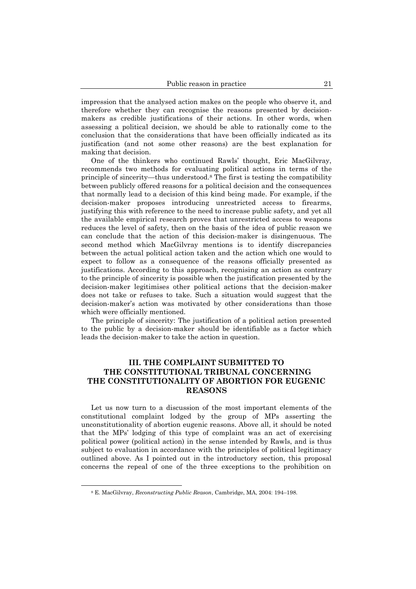impression that the analysed action makes on the people who observe it, and therefore whether they can recognise the reasons presented by decisionmakers as credible justifications of their actions. In other words, when assessing a political decision, we should be able to rationally come to the conclusion that the considerations that have been officially indicated as its justification (and not some other reasons) are the best explanation for making that decision.

One of the thinkers who continued Rawls' thought, Eric MacGilvray, recommends two methods for evaluating political actions in terms of the principle of sincerity—thus understood.<sup>8</sup> The first is testing the compatibility between publicly offered reasons for a political decision and the consequences that normally lead to a decision of this kind being made. For example, if the decision-maker proposes introducing unrestricted access to firearms, justifying this with reference to the need to increase public safety, and yet all the available empirical research proves that unrestricted access to weapons reduces the level of safety, then on the basis of the idea of public reason we can conclude that the action of this decision-maker is disingenuous. The second method which MacGilvray mentions is to identify discrepancies between the actual political action taken and the action which one would to expect to follow as a consequence of the reasons officially presented as justifications. According to this approach, recognising an action as contrary to the principle of sincerity is possible when the justification presented by the decision-maker legitimises other political actions that the decision-maker does not take or refuses to take. Such a situation would suggest that the decision-maker's action was motivated by other considerations than those which were officially mentioned.

The principle of sincerity: The justification of a political action presented to the public by a decision-maker should be identifiable as a factor which leads the decision-maker to take the action in question.

# **III. THE COMPLAINT SUBMITTED TO THE CONSTITUTIONAL TRIBUNAL CONCERNING THE CONSTITUTIONALITY OF ABORTION FOR EUGENIC REASONS**

Let us now turn to a discussion of the most important elements of the constitutional complaint lodged by the group of MPs asserting the unconstitutionality of abortion eugenic reasons. Above all, it should be noted that the MPs' lodging of this type of complaint was an act of exercising political power (political action) in the sense intended by Rawls, and is thus subject to evaluation in accordance with the principles of political legitimacy outlined above. As I pointed out in the introductory section, this proposal concerns the repeal of one of the three exceptions to the prohibition on

<sup>8</sup> E. MacGilvray, *Reconstructing Public Reason*, Cambridge, MA, 2004: 194–198.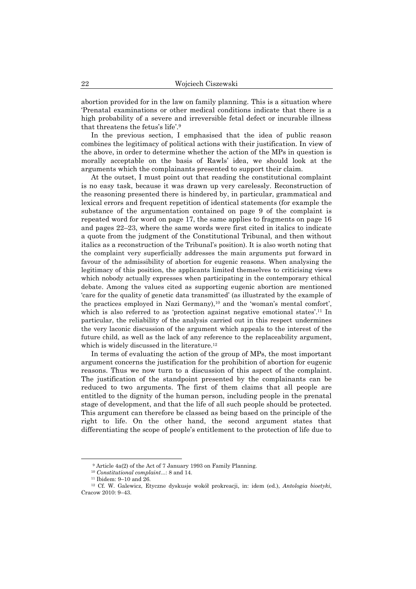abortion provided for in the law on family planning. This is a situation where 'Prenatal examinations or other medical conditions indicate that there is a high probability of a severe and irreversible fetal defect or incurable illness that threatens the fetus's life'. 9

In the previous section, I emphasised that the idea of public reason combines the legitimacy of political actions with their justification. In view of the above, in order to determine whether the action of the MPs in question is morally acceptable on the basis of Rawls' idea, we should look at the arguments which the complainants presented to support their claim.

At the outset, I must point out that reading the constitutional complaint is no easy task, because it was drawn up very carelessly. Reconstruction of the reasoning presented there is hindered by, in particular, grammatical and lexical errors and frequent repetition of identical statements (for example the substance of the argumentation contained on page 9 of the complaint is repeated word for word on page 17, the same applies to fragments on page 16 and pages 22–23, where the same words were first cited in italics to indicate a quote from the judgment of the Constitutional Tribunal, and then without italics as a reconstruction of the Tribunal's position). It is also worth noting that the complaint very superficially addresses the main arguments put forward in favour of the admissibility of abortion for eugenic reasons. When analysing the legitimacy of this position, the applicants limited themselves to criticising views which nobody actually expresses when participating in the contemporary ethical debate. Among the values cited as supporting eugenic abortion are mentioned 'care for the quality of genetic data transmitted' (as illustrated by the example of the practices employed in Nazi Germany),<sup>10</sup> and the 'woman's mental comfort', which is also referred to as 'protection against negative emotional states'.<sup>11</sup> In particular, the reliability of the analysis carried out in this respect undermines the very laconic discussion of the argument which appeals to the interest of the future child, as well as the lack of any reference to the replaceability argument, which is widely discussed in the literature.<sup>12</sup>

In terms of evaluating the action of the group of MPs, the most important argument concerns the justification for the prohibition of abortion for eugenic reasons. Thus we now turn to a discussion of this aspect of the complaint. The justification of the standpoint presented by the complainants can be reduced to two arguments. The first of them claims that all people are entitled to the dignity of the human person, including people in the prenatal stage of development, and that the life of all such people should be protected. This argument can therefore be classed as being based on the principle of the right to life. On the other hand, the second argument states that differentiating the scope of people's entitlement to the protection of life due to

<sup>9</sup> Article 4a(2) of the Act of 7 January 1993 on Family Planning.

<sup>10</sup> *Constitutional complaint*...: 8 and 14.

<sup>11</sup> Ibidem: 9–10 and 26.

<sup>12</sup> Cf. W. Galewicz, Etyczne dyskusje wokół prokreacji, in: idem (ed.), *Antologia bioetyki*, Cracow 2010: 9–43.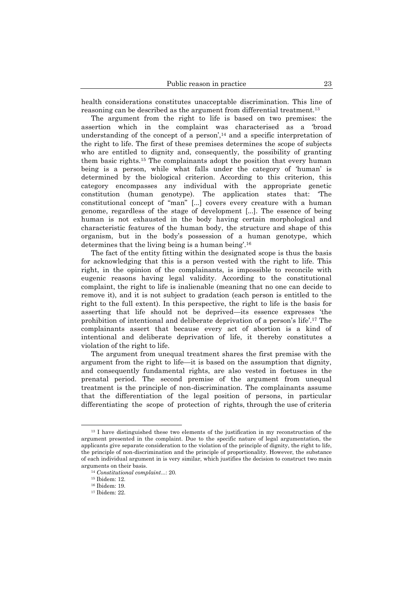health considerations constitutes unacceptable discrimination. This line of reasoning can be described as the argument from differential treatment.<sup>13</sup>

The argument from the right to life is based on two premises: the assertion which in the complaint was characterised as a 'broad understanding of the concept of a person', $14$  and a specific interpretation of the right to life. The first of these premises determines the scope of subjects who are entitled to dignity and, consequently, the possibility of granting them basic rights.<sup>15</sup> The complainants adopt the position that every human being is a person, while what falls under the category of 'human' is determined by the biological criterion. According to this criterion, this category encompasses any individual with the appropriate genetic constitution (human genotype). The application states that: 'The constitutional concept of "man" [...] covers every creature with a human genome, regardless of the stage of development [...]. The essence of being human is not exhausted in the body having certain morphological and characteristic features of the human body, the structure and shape of this organism, but in the body's possession of a human genotype, which determines that the living being is a human being'. 16

The fact of the entity fitting within the designated scope is thus the basis for acknowledging that this is a person vested with the right to life. This right, in the opinion of the complainants, is impossible to reconcile with eugenic reasons having legal validity. According to the constitutional complaint, the right to life is inalienable (meaning that no one can decide to remove it), and it is not subject to gradation (each person is entitled to the right to the full extent). In this perspective, the right to life is the basis for asserting that life should not be deprived—its essence expresses 'the prohibition of intentional and deliberate deprivation of a person's life'. <sup>17</sup> The complainants assert that because every act of abortion is a kind of intentional and deliberate deprivation of life, it thereby constitutes a violation of the right to life.

The argument from unequal treatment shares the first premise with the argument from the right to life—it is based on the assumption that dignity, and consequently fundamental rights, are also vested in foetuses in the prenatal period. The second premise of the argument from unequal treatment is the principle of non-discrimination. The complainants assume that the differentiation of the legal position of persons, in particular differentiating the scope of protection of rights, through the use of criteria

<sup>&</sup>lt;sup>13</sup> I have distinguished these two elements of the justification in my reconstruction of the argument presented in the complaint. Due to the specific nature of legal argumentation, the applicants give separate consideration to the violation of the principle of dignity, the right to life, the principle of non-discrimination and the principle of proportionality. However, the substance of each individual argument in is very similar, which justifies the decision to construct two main arguments on their basis.

<sup>14</sup> *Constitutional complaint*...: 20*.*

<sup>15</sup> Ibidem: 12.

<sup>16</sup> Ibidem: 19.

<sup>17</sup> Ibidem: 22.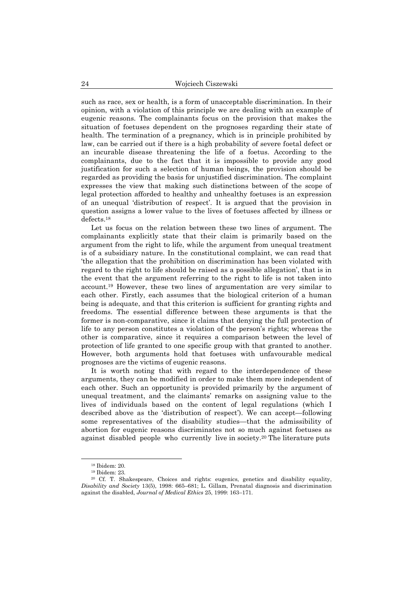such as race, sex or health, is a form of unacceptable discrimination. In their opinion, with a violation of this principle we are dealing with an example of eugenic reasons. The complainants focus on the provision that makes the situation of foetuses dependent on the prognoses regarding their state of health. The termination of a pregnancy, which is in principle prohibited by law, can be carried out if there is a high probability of severe foetal defect or an incurable disease threatening the life of a foetus. According to the complainants, due to the fact that it is impossible to provide any good justification for such a selection of human beings, the provision should be regarded as providing the basis for unjustified discrimination. The complaint expresses the view that making such distinctions between of the scope of legal protection afforded to healthy and unhealthy foetuses is an expression of an unequal 'distribution of respect'. It is argued that the provision in question assigns a lower value to the lives of foetuses affected by illness or defects. 18

Let us focus on the relation between these two lines of argument. The complainants explicitly state that their claim is primarily based on the argument from the right to life, while the argument from unequal treatment is of a subsidiary nature. In the constitutional complaint, we can read that 'the allegation that the prohibition on discrimination has been violated with regard to the right to life should be raised as a possible allegation', that is in the event that the argument referring to the right to life is not taken into account. <sup>19</sup> However, these two lines of argumentation are very similar to each other. Firstly, each assumes that the biological criterion of a human being is adequate, and that this criterion is sufficient for granting rights and freedoms. The essential difference between these arguments is that the former is non-comparative, since it claims that denying the full protection of life to any person constitutes a violation of the person's rights; whereas the other is comparative, since it requires a comparison between the level of protection of life granted to one specific group with that granted to another. However, both arguments hold that foetuses with unfavourable medical prognoses are the victims of eugenic reasons.

It is worth noting that with regard to the interdependence of these arguments, they can be modified in order to make them more independent of each other. Such an opportunity is provided primarily by the argument of unequal treatment, and the claimants' remarks on assigning value to the lives of individuals based on the content of legal regulations (which I described above as the 'distribution of respect'). We can accept—following some representatives of the disability studies—that the admissibility of abortion for eugenic reasons discriminates not so much against foetuses as against disabled people who currently live in society. <sup>20</sup> The literature puts

<sup>18</sup> Ibidem: 20.

<sup>19</sup> Ibidem: 23.

<sup>20</sup> Cf. T. Shakespeare, Choices and rights: eugenics, genetics and disability equality, *Disability and Society* 13(5), 1998: 665–681; L. Gillam, Prenatal diagnosis and discrimination against the disabled, *Journal of Medical Ethics* 25, 1999: 163–171.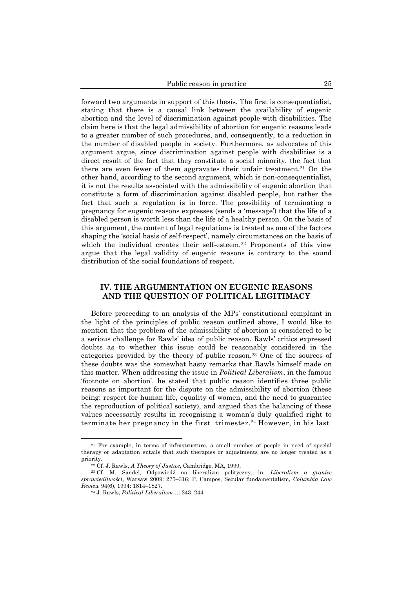forward two arguments in support of this thesis. The first is consequentialist, stating that there is a causal link between the availability of eugenic abortion and the level of discrimination against people with disabilities. The claim here is that the legal admissibility of abortion for eugenic reasons leads to a greater number of such procedures, and, consequently, to a reduction in the number of disabled people in society. Furthermore, as advocates of this argument argue, since discrimination against people with disabilities is a direct result of the fact that they constitute a social minority, the fact that there are even fewer of them aggravates their unfair treatment. <sup>21</sup> On the other hand, according to the second argument, which is non-consequentialist, it is not the results associated with the admissibility of eugenic abortion that constitute a form of discrimination against disabled people, but rather the fact that such a regulation is in force. The possibility of terminating a pregnancy for eugenic reasons expresses (sends a 'message') that the life of a disabled person is worth less than the life of a healthy person. On the basis of this argument, the content of legal regulations is treated as one of the factors shaping the 'social basis of self-respect', namely circumstances on the basis of which the individual creates their self-esteem.<sup>22</sup> Proponents of this view argue that the legal validity of eugenic reasons is contrary to the sound distribution of the social foundations of respect.

# **IV. THE ARGUMENTATION ON EUGENIC REASONS AND THE QUESTION OF POLITICAL LEGITIMACY**

Before proceeding to an analysis of the MPs' constitutional complaint in the light of the principles of public reason outlined above, I would like to mention that the problem of the admissibility of abortion is considered to be a serious challenge for Rawls' idea of public reason. Rawls' critics expressed doubts as to whether this issue could be reasonably considered in the categories provided by the theory of public reason. <sup>23</sup> One of the sources of these doubts was the somewhat hasty remarks that Rawls himself made on this matter. When addressing the issue in *Political Liberalism*, in the famous 'footnote on abortion', he stated that public reason identifies three public reasons as important for the dispute on the admissibility of abortion (these being: respect for human life, equality of women, and the need to guarantee the reproduction of political society), and argued that the balancing of these values necessarily results in recognising a woman's duly qualified right to terminate her pregnancy in the first trimester. <sup>24</sup> However, in his last

<sup>21</sup> For example, in terms of infrastructure, a small number of people in need of special therapy or adaptation entails that such therapies or adjustments are no longer treated as a priority.

<sup>22</sup> Cf. J. Rawls, *A Theory of Justice*, Cambridge, MA, 1999.

<sup>23</sup> Cf. M. Sandel, Odpowiedź na liberalizm polityczny, in: *Liberalizm a granice sprawiedliwości*, Warsaw 2009: 275–316; P. Campos, Secular fundamentalism, *Columbia Law Review* 94(6), 1994: 1814–1827.

<sup>24</sup> J. Rawls, *Political Liberalism*…: 243–244.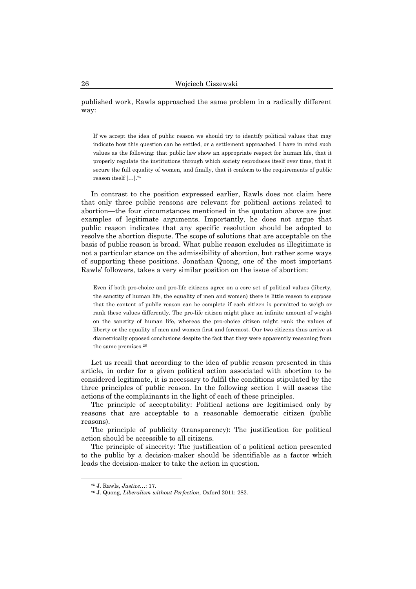published work, Rawls approached the same problem in a radically different way:

If we accept the idea of public reason we should try to identify political values that may indicate how this question can be settled, or a settlement approached. I have in mind such values as the following: that public law show an appropriate respect for human life, that it properly regulate the institutions through which society reproduces itself over time, that it secure the full equality of women, and finally, that it conform to the requirements of public reason itself […].<sup>25</sup>

In contrast to the position expressed earlier, Rawls does not claim here that only three public reasons are relevant for political actions related to abortion—the four circumstances mentioned in the quotation above are just examples of legitimate arguments. Importantly, he does not argue that public reason indicates that any specific resolution should be adopted to resolve the abortion dispute. The scope of solutions that are acceptable on the basis of public reason is broad. What public reason excludes as illegitimate is not a particular stance on the admissibility of abortion, but rather some ways of supporting these positions. Jonathan Quong, one of the most important Rawls' followers, takes a very similar position on the issue of abortion:

Even if both pro-choice and pro-life citizens agree on a core set of political values (liberty, the sanctity of human life, the equality of men and women) there is little reason to suppose that the content of public reason can be complete if each citizen is permitted to weigh or rank these values differently. The pro-life citizen might place an infinite amount of weight on the sanctity of human life, whereas the pro-choice citizen might rank the values of liberty or the equality of men and women first and foremost. Our two citizens thus arrive at diametrically opposed conclusions despite the fact that they were apparently reasoning from the same premises. 26

Let us recall that according to the idea of public reason presented in this article, in order for a given political action associated with abortion to be considered legitimate, it is necessary to fulfil the conditions stipulated by the three principles of public reason. In the following section I will assess the actions of the complainants in the light of each of these principles.

The principle of acceptability: Political actions are legitimised only by reasons that are acceptable to a reasonable democratic citizen (public reasons).

The principle of publicity (transparency): The justification for political action should be accessible to all citizens.

The principle of sincerity: The justification of a political action presented to the public by a decision-maker should be identifiable as a factor which leads the decision-maker to take the action in question.

<sup>25</sup> J. Rawls, *Justice*…: 17.

<sup>26</sup> J. Quong, *Liberalism without Perfection*, Oxford 2011: 282.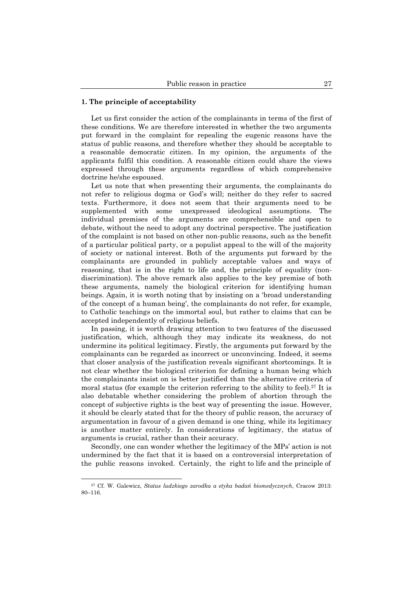#### **1. The principle of acceptability**

Let us first consider the action of the complainants in terms of the first of these conditions. We are therefore interested in whether the two arguments put forward in the complaint for repealing the eugenic reasons have the status of public reasons, and therefore whether they should be acceptable to a reasonable democratic citizen. In my opinion, the arguments of the applicants fulfil this condition. A reasonable citizen could share the views expressed through these arguments regardless of which comprehensive doctrine he/she espoused.

Let us note that when presenting their arguments, the complainants do not refer to religious dogma or God's will; neither do they refer to sacred texts. Furthermore, it does not seem that their arguments need to be supplemented with some unexpressed ideological assumptions. The individual premises of the arguments are comprehensible and open to debate, without the need to adopt any doctrinal perspective. The justification of the complaint is not based on other non-public reasons, such as the benefit of a particular political party, or a populist appeal to the will of the majority of society or national interest. Both of the arguments put forward by the complainants are grounded in publicly acceptable values and ways of reasoning, that is in the right to life and, the principle of equality (nondiscrimination). The above remark also applies to the key premise of both these arguments, namely the biological criterion for identifying human beings. Again, it is worth noting that by insisting on a 'broad understanding of the concept of a human being', the complainants do not refer, for example, to Catholic teachings on the immortal soul, but rather to claims that can be accepted independently of religious beliefs.

In passing, it is worth drawing attention to two features of the discussed justification, which, although they may indicate its weakness, do not undermine its political legitimacy. Firstly, the arguments put forward by the complainants can be regarded as incorrect or unconvincing. Indeed, it seems that closer analysis of the justification reveals significant shortcomings. It is not clear whether the biological criterion for defining a human being which the complainants insist on is better justified than the alternative criteria of moral status (for example the criterion referring to the ability to feel).<sup>27</sup> It is also debatable whether considering the problem of abortion through the concept of subjective rights is the best way of presenting the issue. However, it should be clearly stated that for the theory of public reason, the accuracy of argumentation in favour of a given demand is one thing, while its legitimacy is another matter entirely. In considerations of legitimacy, the status of arguments is crucial, rather than their accuracy.

Secondly, one can wonder whether the legitimacy of the MPs' action is not undermined by the fact that it is based on a controversial interpretation of the public reasons invoked. Certainly, the right to life and the principle of

<sup>27</sup> Cf. W. Galewicz, *Status ludzkiego zarodka a etyka badań biomedycznych*, Cracow 2013: 80–116.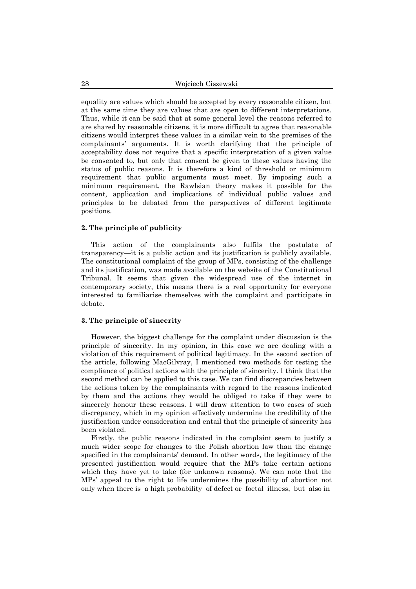equality are values which should be accepted by every reasonable citizen, but at the same time they are values that are open to different interpretations. Thus, while it can be said that at some general level the reasons referred to are shared by reasonable citizens, it is more difficult to agree that reasonable citizens would interpret these values in a similar vein to the premises of the complainants' arguments. It is worth clarifying that the principle of acceptability does not require that a specific interpretation of a given value be consented to, but only that consent be given to these values having the status of public reasons. It is therefore a kind of threshold or minimum requirement that public arguments must meet. By imposing such a minimum requirement, the Rawlsian theory makes it possible for the content, application and implications of individual public values and principles to be debated from the perspectives of different legitimate positions.

#### **2. The principle of publicity**

This action of the complainants also fulfils the postulate of transparency—it is a public action and its justification is publicly available. The constitutional complaint of the group of MPs, consisting of the challenge and its justification, was made available on the website of the Constitutional Tribunal. It seems that given the widespread use of the internet in contemporary society, this means there is a real opportunity for everyone interested to familiarise themselves with the complaint and participate in debate.

#### **3. The principle of sincerity**

However, the biggest challenge for the complaint under discussion is the principle of sincerity. In my opinion, in this case we are dealing with a violation of this requirement of political legitimacy. In the second section of the article, following MacGilvray, I mentioned two methods for testing the compliance of political actions with the principle of sincerity. I think that the second method can be applied to this case. We can find discrepancies between the actions taken by the complainants with regard to the reasons indicated by them and the actions they would be obliged to take if they were to sincerely honour these reasons. I will draw attention to two cases of such discrepancy, which in my opinion effectively undermine the credibility of the justification under consideration and entail that the principle of sincerity has been violated.

Firstly, the public reasons indicated in the complaint seem to justify a much wider scope for changes to the Polish abortion law than the change specified in the complainants' demand. In other words, the legitimacy of the presented justification would require that the MPs take certain actions which they have yet to take (for unknown reasons). We can note that the MPs' appeal to the right to life undermines the possibility of abortion not only when there is a high probability of defect or foetal illness, but also in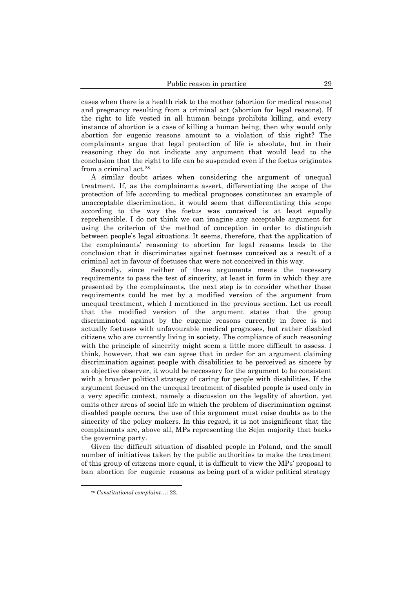cases when there is a health risk to the mother (abortion for medical reasons) and pregnancy resulting from a criminal act (abortion for legal reasons). If the right to life vested in all human beings prohibits killing, and every instance of abortion is a case of killing a human being, then why would only abortion for eugenic reasons amount to a violation of this right? The complainants argue that legal protection of life is absolute, but in their reasoning they do not indicate any argument that would lead to the conclusion that the right to life can be suspended even if the foetus originates from a criminal act. 28

A similar doubt arises when considering the argument of unequal treatment. If, as the complainants assert, differentiating the scope of the protection of life according to medical prognoses constitutes an example of unacceptable discrimination, it would seem that differentiating this scope according to the way the foetus was conceived is at least equally reprehensible. I do not think we can imagine any acceptable argument for using the criterion of the method of conception in order to distinguish between people's legal situations. It seems, therefore, that the application of the complainants' reasoning to abortion for legal reasons leads to the conclusion that it discriminates against foetuses conceived as a result of a criminal act in favour of foetuses that were not conceived in this way.

Secondly, since neither of these arguments meets the necessary requirements to pass the test of sincerity, at least in form in which they are presented by the complainants, the next step is to consider whether these requirements could be met by a modified version of the argument from unequal treatment, which I mentioned in the previous section. Let us recall that the modified version of the argument states that the group discriminated against by the eugenic reasons currently in force is not actually foetuses with unfavourable medical prognoses, but rather disabled citizens who are currently living in society. The compliance of such reasoning with the principle of sincerity might seem a little more difficult to assess. I think, however, that we can agree that in order for an argument claiming discrimination against people with disabilities to be perceived as sincere by an objective observer, it would be necessary for the argument to be consistent with a broader political strategy of caring for people with disabilities. If the argument focused on the unequal treatment of disabled people is used only in a very specific context, namely a discussion on the legality of abortion, yet omits other areas of social life in which the problem of discrimination against disabled people occurs, the use of this argument must raise doubts as to the sincerity of the policy makers. In this regard, it is not insignificant that the complainants are, above all, MPs representing the Sejm majority that backs the governing party.

Given the difficult situation of disabled people in Poland, and the small number of initiatives taken by the public authorities to make the treatment of this group of citizens more equal, it is difficult to view the MPs' proposal to ban abortion for eugenic reasons as being part of a wider political strategy

<sup>28</sup> *Constitutional complaint*…: 22.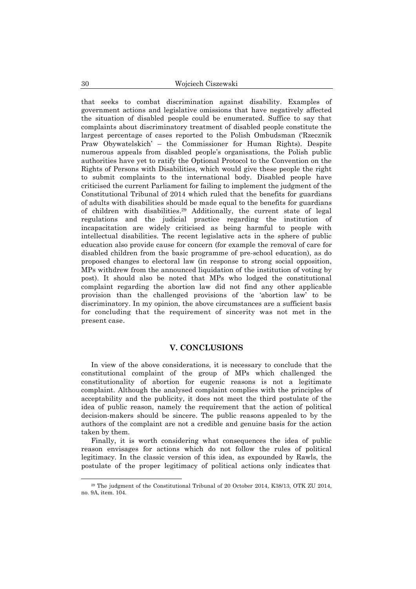that seeks to combat discrimination against disability. Examples of government actions and legislative omissions that have negatively affected the situation of disabled people could be enumerated. Suffice to say that complaints about discriminatory treatment of disabled people constitute the largest percentage of cases reported to the Polish Ombudsman ('Rzecznik Praw Obywatelskich' – the Commissioner for Human Rights). Despite numerous appeals from disabled people's organisations, the Polish public authorities have yet to ratify the Optional Protocol to the Convention on the Rights of Persons with Disabilities, which would give these people the right to submit complaints to the international body. Disabled people have criticised the current Parliament for failing to implement the judgment of the Constitutional Tribunal of 2014 which ruled that the benefits for guardians of adults with disabilities should be made equal to the benefits for guardians of children with disabilities. <sup>29</sup> Additionally, the current state of legal regulations and the judicial practice regarding the institution of incapacitation are widely criticised as being harmful to people with intellectual disabilities. The recent legislative acts in the sphere of public education also provide cause for concern (for example the removal of care for disabled children from the basic programme of pre-school education), as do proposed changes to electoral law (in response to strong social opposition, MPs withdrew from the announced liquidation of the institution of voting by post). It should also be noted that MPs who lodged the constitutional complaint regarding the abortion law did not find any other applicable provision than the challenged provisions of the 'abortion law' to be discriminatory. In my opinion, the above circumstances are a sufficient basis for concluding that the requirement of sincerity was not met in the present case.

### **V. CONCLUSIONS**

In view of the above considerations, it is necessary to conclude that the constitutional complaint of the group of MPs which challenged the constitutionality of abortion for eugenic reasons is not a legitimate complaint. Although the analysed complaint complies with the principles of acceptability and the publicity, it does not meet the third postulate of the idea of public reason, namely the requirement that the action of political decision-makers should be sincere. The public reasons appealed to by the authors of the complaint are not a credible and genuine basis for the action taken by them.

Finally, it is worth considering what consequences the idea of public reason envisages for actions which do not follow the rules of political legitimacy. In the classic version of this idea, as expounded by Rawls, the postulate of the proper legitimacy of political actions only indicates that

<sup>29</sup> The judgment of the Constitutional Tribunal of 20 October 2014, K38/13, OTK ZU 2014, no. 9A, item. 104.